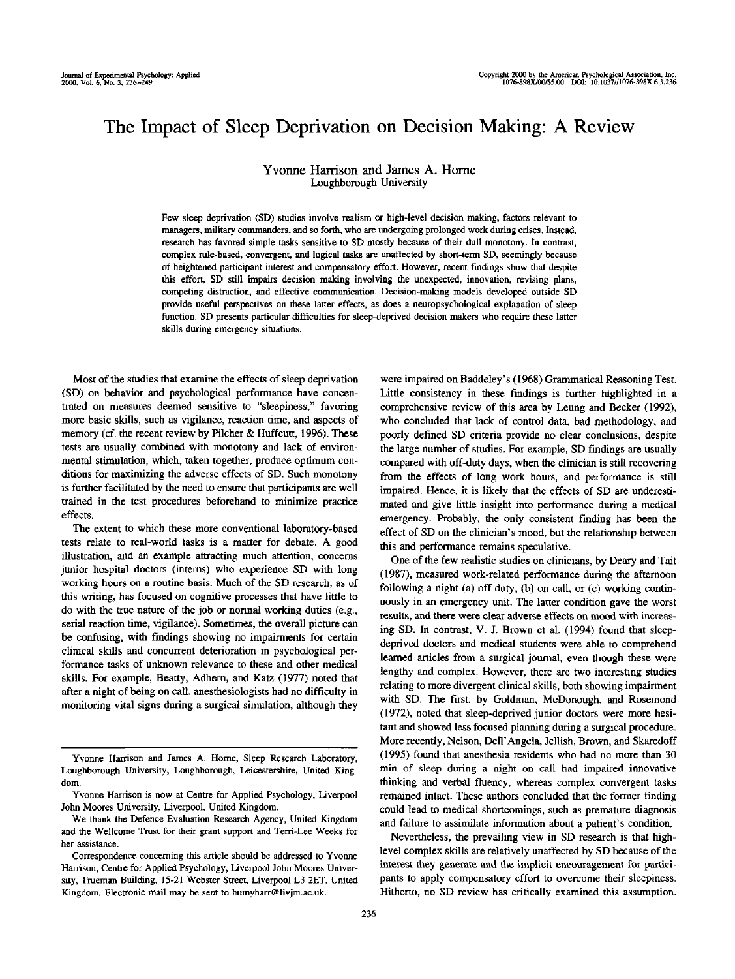# The Impact of Sleep Deprivation on Decision Making: A Review

## Yvonne Harrison and James A. Home Loughborough University

Few sleep deprivation (SD) studies involve realism or high-level decision making, factors relevant to managers, military commanders, and so forth, who are undergoing prolonged work during crises. Instead, research has favored simple tasks sensitive to SD mostly because of their dull monotony. In contrast, complex rule-based, convergent, and logical tasks are unaffected by short-term SD, seemingly because of heightened participant interest and compensatory effort. However, recent findings show that despite this effort, SD still impairs decision making involving the unexpected, innovation, revising plans, competing distraction, and effective communication. Decision-making models developed outside SD provide useful perspectives on these latter effects, as does a neuropsychological explanation of sleep function. SD presents particular difficulties for sleep-deprived decision makers who require these latter skills during emergency situations.

Most of the studies that examine the effects of sleep deprivation (SD) on behavior and psychological performance have concentrated on measures deemed sensitive to "sleepiness," favoring more basic skills, such as vigilance, reaction time, and aspects of memory (cf. the recent review by Pilcher & Huffcutt, 1996). These tests are usually combined with monotony and lack of environmental stimulation, which, taken together, produce optimum conditions for maximizing the adverse effects of SD. Such monotony is further facilitated by the need to ensure that participants are well trained in the test procedures beforehand to minimize practice effects.

The extent to which these more conventional laboratory-based tests relate to real-world tasks is a matter for debate. A good illustration, and an example attracting much attention, concerns junior hospital doctors (interns) who experience SD with long working hours on a routine basis. Much of the SD research, as of this writing, has focused on cognitive processes that have little to do with the true nature of the job or normal working duties (e.g., serial reaction time, vigilance). Sometimes, the overall picture can be confusing, with findings showing no impairments for certain clinical skills and concurrent deterioration in psychological performance tasks of unknown relevance to these and other medical skills. For example, Beatty, Adhern, and Katz (1977) noted that after a night of being on call, anesthesiologists had no difficulty in monitoring vital signs during a surgical simulation, although they

We thank the Defence Evaluation Research Agency, United Kingdom and the Wellcome Trust for their grant support and Terri-Lee Weeks for her assistance.

Correspondence concerning this article should be addressed to Yvonne Harrison, Centre for Applied Psychology, Liverpool John Moores University, Trueman Building, 15-21 Webster Street, Liverpool L3 2ET, United Kingdom. Electronic mail may be sent to humyharr@livjm.ac.uk.

were impaired on Baddeley's (1968) Grammatical Reasoning Test. Little consistency in these findings is further highlighted in a comprehensive review of this area by Leung and Becker (1992), who concluded that lack of control data, bad methodology, and poorly defined SD criteria provide no clear conclusions, despite the large number of studies. For example, SD findings are usually compared with off-duty days, when the clinician is still recovering from the effects of long work hours, and performance is still impaired. Hence, it is likely that the effects of SD are underestimated and give little insight into performance during a medical emergency. Probably, the only consistent finding has been the effect of SD on the clinician's mood, but the relationship between this and performance remains speculative.

One of the few realistic studies on clinicians, by Deary and Tail (1987), measured work-related performance during the afternoon following a night (a) off duty, (b) on call, or (c) working continuously in an emergency unit. The latter condition gave the worst results, and there were clear adverse effects on mood with increasing SD. In contrast, V. J. Brown et al. (1994) found that sleepdeprived doctors and medical students were able to comprehend learned articles from a surgical journal, even though these were lengthy and complex. However, there are two interesting studies relating to more divergent clinical skills, both showing impairment with SD. The first, by Goldman, McDonough, and Rosemond (1972), noted that sleep-deprived junior doctors were more hesitant and showed less focused planning during a surgical procedure. More recently, Nelson, Dell'Angela, Jellish, Brown, and Skaredoff (1995) found that anesthesia residents who had no more than 30 min of sleep during a night on call had impaired innovative thinking and verbal fluency, whereas complex convergent tasks remained intact. These authors concluded that the former finding could lead to medical shortcomings, such as premature diagnosis and failure to assimilate information about a patient's condition.

Nevertheless, the prevailing view in SD research is that highlevel complex skills are relatively unaffected by SD because of the interest they generate and the implicit encouragement for participants to apply compensatory effort to overcome their sleepiness. Hitherto, no SD review has critically examined this assumption.

Yvonne Harrison and James A. Home, Sleep Research Laboratory, Loughborough University, Loughborough, Leicestershire, United Kingdom.

Yvonne Harrison is now at Centre for Applied Psychology, Liverpool John Moores University, Liverpool, United Kingdom.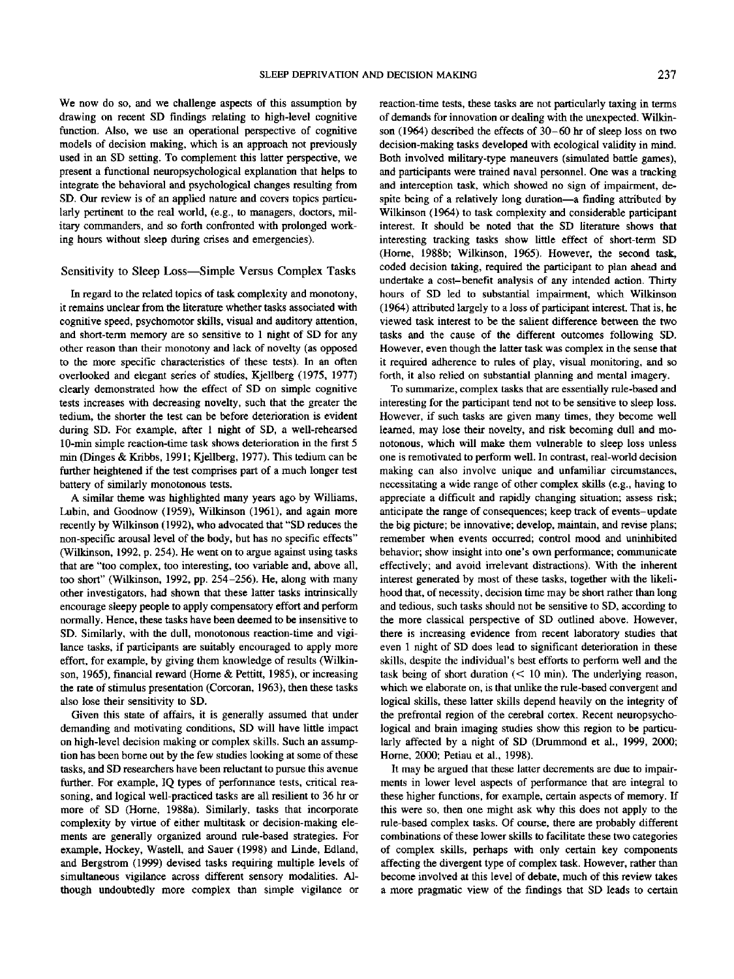We now do so, and we challenge aspects of this assumption by drawing on recent SD findings relating to high-level cognitive function. Also, we use an operational perspective of cognitive models of decision making, which is an approach not previously used in an SD setting. To complement this latter perspective, we present a functional neuropsychological explanation that helps to integrate the behavioral and psychological changes resulting from SD. Our review is of an applied nature and covers topics particularly pertinent to the real world, (e.g., to managers, doctors, military commanders, and so forth confronted with prolonged working hours without sleep during crises and emergencies).

### Sensitivity to Sleep Loss—Simple Versus Complex Tasks

In regard to the related topics of task complexity and monotony, it remains unclear from the literature whether tasks associated with cognitive speed, psychomotor skills, visual and auditory attention, and short-term memory are so sensitive to 1 night of SD for any other reason than their monotony and lack of novelty (as opposed to the more specific characteristics of these tests). In an often overlooked and elegant series of studies, Kjellberg (1975, 1977) clearly demonstrated how the effect of SD on simple cognitive tests increases with decreasing novelty, such that the greater the tedium, the shorter the test can be before deterioration is evident during SD. For example, after 1 night of SD, a well-rehearsed 10-min simple reaction-time task shows deterioration in the first 5 min (Dinges & Kribbs, 1991; Kjellberg, 1977). This tedium can be further heightened if the test comprises part of a much longer test battery of similarly monotonous tests.

A similar theme was highlighted many years ago by Williams, Lubin, and Goodnow (1959), Wilkinson (1961), and again more recently by Wilkinson (1992), who advocated that "SD reduces the non-specific arousal level of the body, but has no specific effects" (Wilkinson, 1992, p. 254). He went on to argue against using tasks that are "too complex, too interesting, too variable and, above all, too short" (Wilkinson, 1992, pp. 254-256). He, along with many other investigators, had shown that these latter tasks intrinsically encourage sleepy people to apply compensatory effort and perform normally. Hence, these tasks have been deemed to be insensitive to SD. Similarly, with the dull, monotonous reaction-time and vigilance tasks, if participants are suitably encouraged to apply more effort, for example, by giving them knowledge of results (Wilkinson, 1965), financial reward (Home & Pettitt, 1985), or increasing the rate of stimulus presentation (Corcoran, 1963), then these tasks also lose their sensitivity to SD.

Given this state of affairs, it is generally assumed that under demanding and motivating conditions, SD will have little impact on high-level decision making or complex skills. Such an assumption has been borne out by the few studies looking at some of these tasks, and SD researchers have been reluctant to pursue this avenue further. For example, IQ types of performance tests, critical reasoning, and logical well-practiced tasks are all resilient to 36 hr or more of SD (Home, 1988a). Similarly, tasks that incorporate complexity by virtue of either multitask or decision-making elements are generally organized around rule-based strategies. For example. Hockey, Wastell, and Sauer (1998) and Linde, Edland, and Bergstrom (1999) devised tasks requiring multiple levels of simultaneous vigilance across different sensory modalities. Although undoubtedly more complex than simple vigilance or reaction-time tests, these tasks are not particularly taxing in terms of demands for innovation or dealing with the unexpected. Wilkinson (1964) described the effects of 30-60 hr of sleep loss on two decision-making tasks developed with ecological validity in mind. Both involved military-type maneuvers (simulated battle games), and participants were trained naval personnel. One was a tracking and interception task, which showed no sign of impairment, despite being of a relatively long duration—a finding attributed by Wilkinson (1964) to task complexity and considerable participant interest. It should be noted that the SD literature shows that interesting tracking tasks show little effect of short-term SD (Home, 1988b; Wilkinson, 1965). However, the second task, coded decision taking, required the participant to plan ahead and undertake a cost-benefit analysis of any intended action. Thirty hours of SD led to substantial impairment, which Wilkinson (1964) attributed largely to a loss of participant interest. That is, he viewed task interest to be the salient difference between the two tasks and the cause of the different outcomes following SD. However, even though the latter task was complex in the sense that it required adherence to rules of play, visual monitoring, and so forth, it also relied on substantial planning and mental imagery.

To summarize, complex tasks that are essentially rule-based and interesting for the participant tend not to be sensitive to sleep loss. However, if such tasks are given many times, they become well learned, may lose their novelty, and risk becoming dull and monotonous, which will make them vulnerable to sleep loss unless one is remotivated to perform well. In contrast, real-world decision making can also involve unique and unfamiliar circumstances, necessitating a wide range of other complex skills (e.g., having to appreciate a difficult and rapidly changing situation; assess risk; anticipate the range of consequences; keep track of events-update the big picture; be innovative; develop, maintain, and revise plans; remember when events occurred; control mood and uninhibited behavior; show insight into one's own performance; communicate effectively; and avoid irrelevant distractions). With the inherent interest generated by most of these tasks, together with the likelihood that, of necessity, decision time may be short rather than long and tedious, such tasks should not be sensitive to SD, according to the more classical perspective of SD outlined above. However, there is increasing evidence from recent laboratory studies that even 1 night of SD does lead to significant deterioration in these skills, despite the individual's best efforts to perform well and the task being of short duration (< 10 min). The underlying reason, which we elaborate on, is that unlike the rule-based convergent and logical skills, these latter skills depend heavily on the integrity of the prefrontal region of the cerebral cortex. Recent neuropsychological and brain imaging studies show this region to be particularly affected by a night of SD (Drummond et al., 1999, 2000; Home, 2000; Petiau et al., 1998).

It may be argued that these latter decrements are due to impairments in lower level aspects of performance that are integral to these higher functions, for example, certain aspects of memory. If this were so, then one might ask why this does not apply to the rule-based complex tasks. Of course, there are probably different combinations of these lower skills to facilitate these two categories of complex skills, perhaps with only certain key components affecting the divergent type of complex task. However, rather than become involved at this level of debate, much of this review takes a more pragmatic view of the findings that SD leads to certain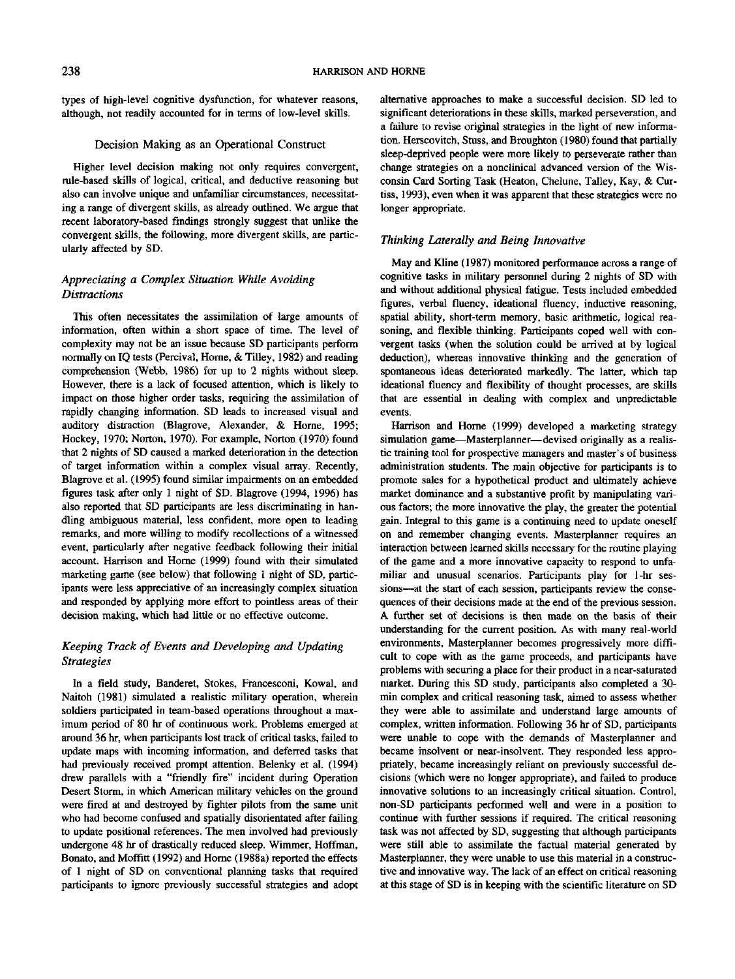types of high-level cognitive dysfunction, for whatever reasons, although, not readily accounted for in terms of low-level skills.

# Decision Making as an Operational Construct

Higher level decision making not only requires convergent, rule-based skills of logical, critical, and deductive reasoning but also can involve unique and unfamiliar circumstances, necessitating a range of divergent skills, as already outlined. We argue that recent laboratory-based findings strongly suggest that unlike the convergent skills, the following, more divergent skills, are particularly affected by SD.

# *Appreciating a Complex Situation While Avoiding Distractions*

This often necessitates the assimilation of large amounts of information, often within a short space of time. The level of complexity may not be an issue because SD participants perform normally on IQ tests (Percival, Home, & Tilley, 1982) and reading comprehension (Webb, 1986) for up to 2 nights without sleep. However, there is a lack of focused attention, which is likely to impact on those higher order tasks, requiring the assimilation of rapidly changing information. SD leads to increased visual and auditory distraction (Blagrove, Alexander, & Home, 1995; Hockey, 1970; Norton, 1970). For example, Norton (1970) found that 2 nights of SD caused a marked deterioration in the detection of target information within a complex visual array. Recently, Blagrove et al. (1995) found similar impairments on an embedded figures task after only 1 night of SD. Blagrove (1994, 1996) has also reported that SD participants are less discriminating in handling ambiguous material, less confident, more open to leading remarks, and more willing to modify recollections of a witnessed event, particularly after negative feedback following their initial account. Harrison and Home (1999) found with their simulated marketing game (see below) that following 1 night of SD, participants were less appreciative of an increasingly complex situation and responded by applying more effort to pointless areas of their decision making, which had little or no effective outcome.

# *Keeping Track of Events and Developing and Updating Strategies*

In a field study, Banderet, Stokes, Francesconi, Kowal, and Naitoh (1981) simulated a realistic military operation, wherein soldiers participated in team-based operations throughout a maximum period of 80 hr of continuous work. Problems emerged at around 36 hr, when participants lost track of critical tasks, failed to update maps with incoming information, and deferred tasks that had previously received prompt attention. Belenky et al. (1994) drew parallels with a "friendly fire" incident during Operation Desert Storm, in which American military vehicles on the ground were fired at and destroyed by fighter pilots from the same unit who had become confused and spatially disorientated after failing to update positional references. The men involved had previously undergone 48 hr of drastically reduced sleep. Wimmer, Hoffman, Bonato, and Moffitt (1992) and Home (1988a) reported the effects of 1 night of SD on conventional planning tasks that required participants to ignore previously successful strategies and adopt

alternative approaches to make a successful decision. SD led to significant deteriorations in these skills, marked perseveration, and a failure to revise original strategies in the light of new information. Herscovitch, Stuss, and Broughton (1980) found that partially sleep-deprived people were more likely to perseverate rather than change strategies on a nonclinical advanced version of the Wisconsin Card Sorting Task (Heaton, Chelune, Talley, Kay, & Curtiss, 1993), even when it was apparent that these strategies were no longer appropriate.

## *Thinking Laterally and Being Innovative*

May and Kline (1987) monitored performance across a range of cognitive tasks in military personnel during 2 nights of SD with and without additional physical fatigue. Tests included embedded figures, verbal fluency, ideational fluency, inductive reasoning, spatial ability, short-term memory, basic arithmetic, logical reasoning, and flexible thinking. Participants coped well with convergent tasks (when the solution could be arrived at by logical deduction), whereas innovative thinking and the generation of spontaneous ideas deteriorated markedly. The latter, which tap ideational fluency and flexibility of thought processes, are skills that are essential in dealing with complex and unpredictable events.

Harrison and Home (1999) developed a marketing strategy simulation game—Masterplanner—devised originally as a realistic training tool for prospective managers and master's of business administration students. The main objective for participants is to promote sales for a hypothetical product and ultimately achieve market dominance and a substantive profit by manipulating various factors; the more innovative the play, the greater the potential gain. Integral to this game is a continuing need to update oneself on and remember changing events. Masterplanner requires an interaction between learned skills necessary for the routine playing of the game and a more innovative capacity to respond to unfamiliar and unusual scenarios. Participants play for 1-hr sessions—at the start of each session, participants review the consequences of their decisions made at the end of the previous session. A further set of decisions is then made on the basis of their understanding for the current position. As with many real-world environments, Masterplanner becomes progressively more difficult to cope with as the game proceeds, and participants have problems with securing a place for their product in a near-saturated market. During this SD study, participants also completed a 30 min complex and critical reasoning task, aimed to assess whether they were able to assimilate and understand large amounts of complex, written information. Following 36 hr of SD, participants were unable to cope with the demands of Masterplanner and became insolvent or near-insolvent. They responded less appropriately, became increasingly reliant on previously successful decisions (which were no longer appropriate), and failed to produce innovative solutions to an increasingly critical situation. Control, non-SD participants performed well and were in a position to continue with further sessions if required. The critical reasoning task was not affected by SD, suggesting that although participants were still able to assimilate the factual material generated by Masterplanner, they were unable to use this material in a constructive and innovative way. The lack of an effect on critical reasoning at this stage of SD is in keeping with the scientific literature on SD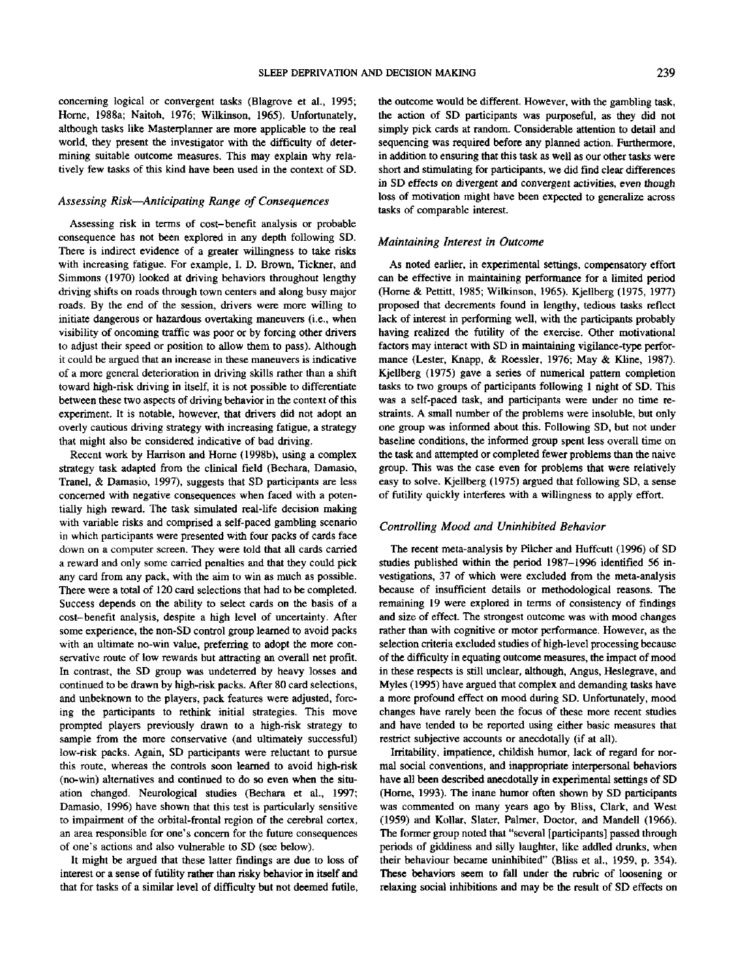concerning logical or convergent tasks (Blagrove et al., 1995; Home, 1988a; Naitoh, 1976; Wilkinson, 1965). Unfortunately, although tasks like Masterplanner are more applicable to the real world, they present the investigator with the difficulty of determining suitable outcome measures. This may explain why relatively few tasks of this kind have been used in the context of SD.

#### *Assessing Risk*—*Anticipating Range of Consequences*

Assessing risk in terms of cost-benefit analysis or probable consequence has not been explored in any depth following SD. There is indirect evidence of a greater willingness to take risks with increasing fatigue. For example, I. D. Brown, Tickner, and Simmons (1970) looked at driving behaviors throughout lengthy driving shifts on roads through town centers and along busy major roads. By the end of the session, drivers were more willing to initiate dangerous or hazardous overtaking maneuvers (i.e., when visibility of oncoming traffic was poor or by forcing other drivers to adjust their speed or position to allow them to pass). Although it could be argued that an increase in these maneuvers is indicative of a more general deterioration in driving skills rather than a shift toward high-risk driving in itself, it is not possible to differentiate between these two aspects of driving behavior in the context of this experiment. It is notable, however, that drivers did not adopt an overly cautious driving strategy with increasing fatigue, a strategy that might also be considered indicative of bad driving.

Recent work by Harrison and Home (1998b), using a complex strategy task adapted from the clinical field (Bechara, Damasio, Tranel, & Damasio, 1997), suggests that SD participants are less concerned with negative consequences when faced with a potentially high reward. The task simulated real-life decision making with variable risks and comprised a self-paced gambling scenario in which participants were presented with four packs of cards face down on a computer screen. They were told that all cards carried a reward and only some carried penalties and that they could pick any card from any pack, with the aim to win as much as possible. There were a total of 120 card selections that had to be completed. Success depends on the ability to select cards on the basis of a cost-benefit analysis, despite a high level of uncertainty. After some experience, the non-SD control group learned to avoid packs with an ultimate no-win value, preferring to adopt the more conservative route of low rewards but attracting an overall net profit. In contrast, the SD group was undeterred by heavy losses and continued to be drawn by high-risk packs. After 80 card selections, and unbeknown to the players, pack features were adjusted, forcing the participants to rethink initial strategies. This move prompted players previously drawn to a high-risk strategy to sample from the more conservative (and ultimately successful) low-risk packs. Again, SD participants were reluctant to pursue this route, whereas the controls soon learned to avoid high-risk (no-win) alternatives and continued to do so even when the situation changed. Neurological studies (Bechara et al., 1997; Damasio, 1996) have shown that this test is particularly sensitive to impairment of the orbital-frontal region of the cerebral cortex, an area responsible for one's concern for the future consequences of one's actions and also vulnerable to SD (see below).

It might be argued that these latter findings are due to loss of interest or a sense of futility rather than risky behavior in itself and that for tasks of a similar level of difficulty but not deemed futile, the outcome would be different. However, with the gambling task, the action of SD participants was purposeful, as they did not simply pick cards at random. Considerable attention to detail and sequencing was required before any planned action. Furthermore, in addition to ensuring that this task as well as our other tasks were short and stimulating for participants, we did find clear differences in SD effects on divergent and convergent activities, even though loss of motivation might have been expected to generalize across tasks of comparable interest.

## *Maintaining Interest in Outcome*

As noted earlier, in experimental settings, compensatory effort can be effective in maintaining performance for a limited period (Horne & Pettitt, 1985; Wilkinson, 1965). Kjellberg (1975, 1977) proposed that decrements found in lengthy, tedious tasks reflect lack of interest in performing well, with the participants probably having realized the futility of the exercise. Other motivational factors may interact with SD in maintaining vigilance-type performance (Lester, Knapp, & Roessler, 1976; May & Kline, 1987). Kjellberg (1975) gave a series of numerical pattern completion tasks to two groups of participants following 1 night of SD. This was a self-paced task, and participants were under no time restraints. A small number of the problems were insoluble, but only one group was informed about this. Following SD, but not under baseline conditions, the informed group spent less overall time on the task and attempted or completed fewer problems than the naive group. This was the case even for problems that were relatively easy to solve. Kjellberg (1975) argued that following SD, a sense of futility quickly interferes with a willingness to apply effort.

#### *Controlling Mood and Uninhibited Behavior*

The recent meta-analysis by Pilcher and Huffcutt (1996) of SD studies published within the period 1987-1996 identified 56 investigations, 37 of which were excluded from the meta-analysis because of insufficient details or methodological reasons. The remaining 19 were explored in terms of consistency of findings and size of effect. The strongest outcome was with mood changes rather than with cognitive or motor performance. However, as the selection criteria excluded studies of high-level processing because of the difficulty in equating outcome measures, the impact of mood in these respects is still unclear, although, Angus, Heslegrave, and Myles (1995) have argued that complex and demanding tasks have a more profound effect on mood during SD. Unfortunately, mood changes have rarely been the focus of these more recent studies and have tended to be reported using either basic measures that restrict subjective accounts or anecdotally (if at all).

Irritability, impatience, childish humor, lack of regard for normal social conventions, and inappropriate interpersonal behaviors have all been described anecdotally in experimental settings of SD (Horne, 1993). The inane humor often shown by SD participants was commented on many years ago by Bliss, Clark, and West (1959) and Kollar, Slater, Palmer, Doctor, and Mandell (1966). The former group noted that "several [participants] passed through periods of giddiness and silly laughter, like addled drunks, when their behaviour became uninhibited" (Bliss et al., 1959, p. 354). These behaviors seem to fall under the rubric of loosening or relaxing social inhibitions and may be the result of SD effects on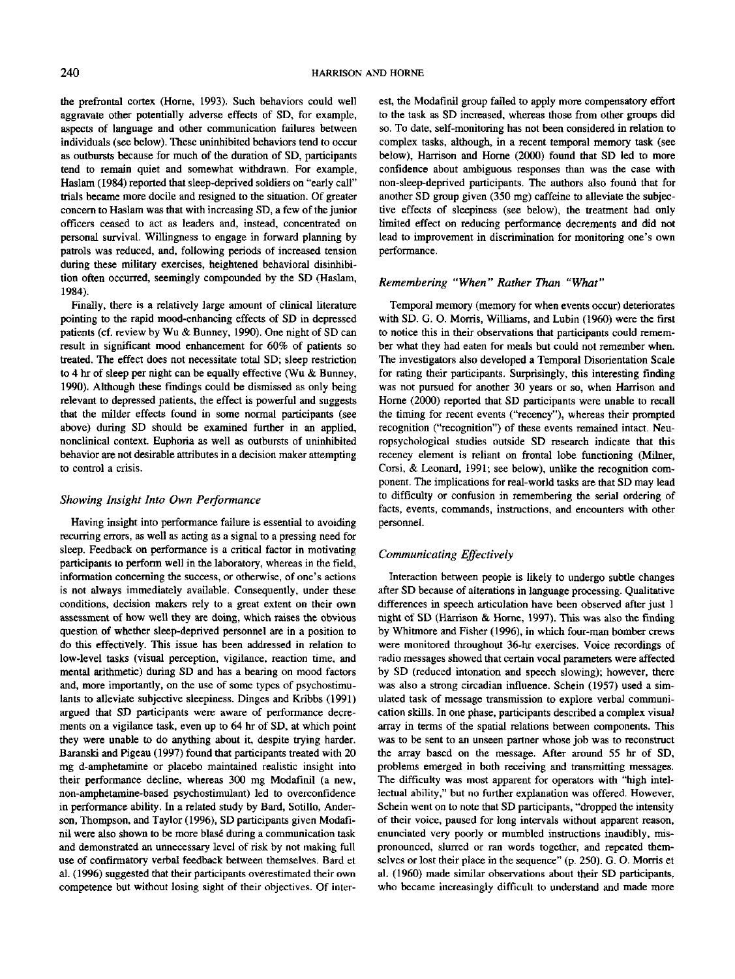the prefrontal cortex (Home, 1993). Such behaviors could well aggravate other potentially adverse effects of SD, for example, aspects of language and other communication failures between individuals (see below). These uninhibited behaviors tend to occur as outbursts because for much of the duration of SD, participants tend to remain quiet and somewhat withdrawn. For example, Haslam (1984) reported that sleep-deprived soldiers on "early call" trials became more docile and resigned to the situation. Of greater concern to Haslam was that with increasing SD, a few of the junior officers ceased to act as leaders and, instead, concentrated on personal survival. Willingness to engage in forward planning by patrols was reduced, and, following periods of increased tension during these military exercises, heightened behavioral disinhibition often occurred, seemingly compounded by the SD (Haslam, 1984).

Finally, there is a relatively large amount of clinical literature pointing to the rapid mood-enhancing effects of SD in depressed patients (cf. review by Wu & Bunney, 1990). One night of SD can result in significant mood enhancement for 60% of patients so treated. The effect does not necessitate total SD; sleep restriction to 4 hr of sleep per night can be equally effective (Wu & Bunney, 1990). Although these findings could be dismissed as only being relevant to depressed patients, the effect is powerful and suggests that the milder effects found in some normal participants (see above) during SD should be examined further in an applied, nonclinical context. Euphoria as well as outbursts of uninhibited behavior are not desirable attributes in a decision maker attempting to control a crisis.

## *Showing Insight Into Own Performance*

Having insight into performance failure is essential to avoiding recurring errors, as well as acting as a signal to a pressing need for sleep. Feedback on performance is a critical factor in motivating participants to perform well in the laboratory, whereas in the field, information concerning the success, or otherwise, of one's actions is not always immediately available. Consequently, under these conditions, decision makers rely to a great extent on their own assessment of how well they are doing, which raises the obvious question of whether sleep-deprived personnel are in a position to do this effectively. This issue has been addressed in relation to low-level tasks (visual perception, vigilance, reaction time, and mental arithmetic) during SD and has a bearing on mood factors and, more importantly, on the use of some types of psychostimulants to alleviate subjective sleepiness. Dinges and Kribbs (1991) argued that SD participants were aware of performance decrements on a vigilance task, even up to 64 hr of SD, at which point they were unable to do anything about it, despite trying harder. Baranski and Pigeau (1997) found that participants treated with 20 mg d-amphetamine or placebo maintained realistic insight into their performance decline, whereas 300 mg Modafinil (a new, non-amphetamine-based psychostimulant) led to overconfidence in performance ability. In a related study by Bard, Sotillo, Anderson, Thompson, and Taylor (1996), SD participants given Modafinil were also shown to be more blas6 during a communication task and demonstrated an unnecessary level of risk by not making full use of confirmatory verbal feedback between themselves. Bard et al. (1996) suggested that their participants overestimated their own competence but without losing sight of their objectives. Of interest, the Modafinil group failed to apply more compensatory effort to the task as SD increased, whereas those from other groups did so. To date, self-monitoring has not been considered in relation to complex tasks, although, in a recent temporal memory task (see below), Harrison and Home (2000) found that SD led to more confidence about ambiguous responses than was the case with non-sleep-deprived participants. The authors also found that for another SD group given (350 mg) caffeine to alleviate the subjective effects of sleepiness (see below), the treatment had only limited effect on reducing performance decrements and did not lead to improvement in discrimination for monitoring one's own performance.

# *Remembering "When" Rather Than "What"*

Temporal memory (memory for when events occur) deteriorates with SD. G. O. Morris, Williams, and Lubin (1960) were the first to notice this in their observations that participants could remember what they had eaten for meals but could not remember when. The investigators also developed a Temporal Disorientation Scale for rating their participants. Surprisingly, this interesting finding was not pursued for another 30 years or so, when Harrison and Home (2000) reported that SD participants were unable to recall the timing for recent events ("recency"), whereas their prompted recognition ("recognition") of these events remained intact. Neuropsychological studies outside SD research indicate that this recency element is reliant on frontal lobe functioning (Milner, Corsi, & Leonard, 1991; see below), unlike the recognition component. The implications for real-world tasks are that SD may lead to difficulty or confusion in remembering the serial ordering of facts, events, commands, instructions, and encounters with other personnel.

## *Communicating Effectively*

Interaction between people is likely to undergo subtle changes after SD because of alterations in language processing. Qualitative differences in speech articulation have been observed after just 1 night of SD (Harrison & Home, 1997). This was also the finding by Whitmore and Fisher (1996), in which four-man bomber crews were monitored throughout 36-hr exercises. Voice recordings of radio messages showed that certain vocal parameters were affected by SD (reduced intonation and speech slowing); however, there was also a strong circadian influence. Schein (1957) used a simulated task of message transmission to explore verbal communication skills. In one phase, participants described a complex visual array in terms of the spatial relations between components. This was to be sent to an unseen partner whose job was to reconstruct the array based on the message. After around 55 hr of SD, problems emerged in both receiving and transmitting messages. The difficulty was most apparent for operators with "high intellectual ability," but no further explanation was offered. However, Schein went on to note that SD participants, "dropped the intensity of their voice, paused for long intervals without apparent reason, enunciated very poorly or mumbled instructions inaudibly, mispronounced, slurred or ran words together, and repeated themselves or lost their place in the sequence" (p. 250). G. O. Morris et al. (1960) made similar observations about their SD participants, who became increasingly difficult to understand and made more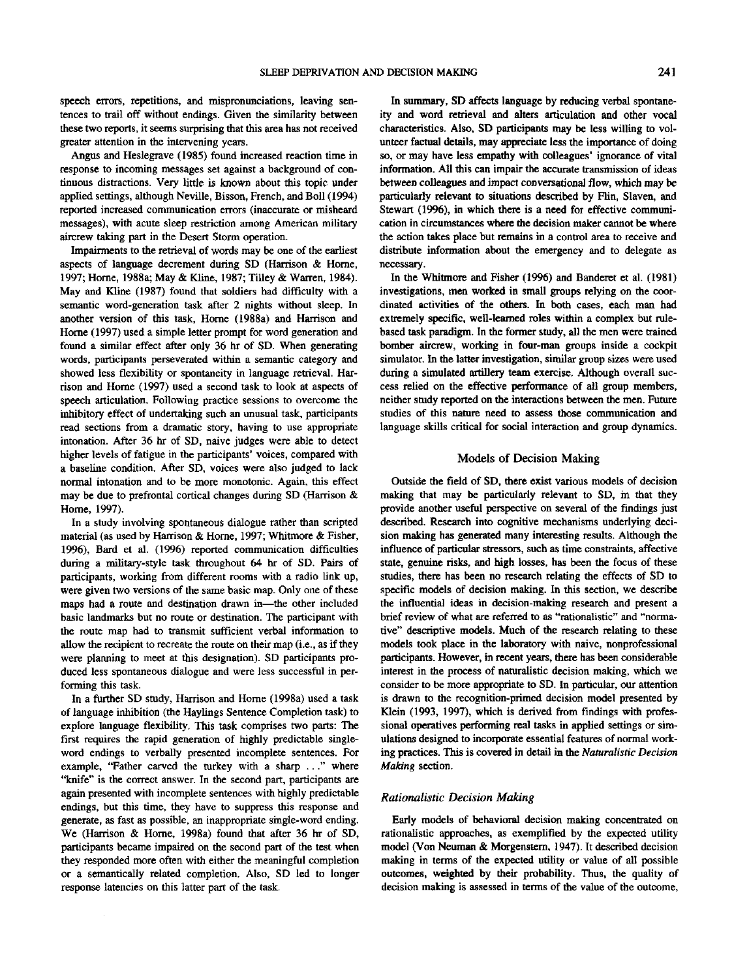speech errors, repetitions, and mispronunciations, leaving sentences to trail off without endings. Given the similarity between these two reports, it seems surprising that this area has not received greater attention in the intervening years.

Angus and Heslegrave (1985) found increased reaction time in response to incoming messages set against a background of continuous distractions. Very little is known about this topic under applied settings, although Neville, Bisson, French, and Boll (1994) reported increased communication errors (inaccurate or misheard messages), with acute sleep restriction among American military aircrew taking part in the Desert Storm operation.

Impairments to the retrieval of words may be one of the earliest aspects of language decrement during SD (Harrison & Home, 1997; Home, 1988a; May & Kline, 1987; Tilley & Warren, 1984). May and Kline (1987) found that soldiers had difficulty with a semantic word-generation task after 2 nights without sleep. In another version of this task, Home (1988a) and Harrison and Home (1997) used a simple letter prompt for word generation and found a similar effect after only 36 hr of SD. When generating words, participants perseverated within a semantic category and showed less flexibility or spontaneity in language retrieval. Harrison and Home (1997) used a second task to look at aspects of speech articulation. Following practice sessions to overcome the inhibitory effect of undertaking such an unusual task, participants read sections from a dramatic story, having to use appropriate intonation. After 36 hr of SD, naive judges were able to detect higher levels of fatigue in the participants' voices, compared with a baseline condition. After SD, voices were also judged to lack normal intonation and to be more monotonic. Again, this effect may be due to prefrontal cortical changes during SD (Harrison & Home, 1997).

In a study involving spontaneous dialogue rather than scripted material (as used by Harrison & Home, 1997; Whitmore & Fisher, 1996), Bard et al. (1996) reported communication difficulties during a military-style task throughout 64 hr of SD. Pairs of participants, working from different rooms with a radio link up, were given two versions of the same basic map. Only one of these maps had a route and destination drawn in—the other included basic landmarks but no route or destination. The participant with the route map had to transmit sufficient verbal information to allow the recipient to recreate the route on their map (i.e., as if they were planning to meet at this designation). SD participants produced less spontaneous dialogue and were less successful in performing this task.

In a further SD study, Harrison and Home (1998a) used a task of language inhibition (the Haylings Sentence Completion task) to explore language flexibility. This task comprises two parts: The first requires the rapid generation of highly predictable singleword endings to verbally presented incomplete sentences. For example, "Father carved the turkey with a sharp ..." where "knife" is the correct answer. In the second part, participants are again presented with incomplete sentences with highly predictable endings, but this time, they have to suppress this response and generate, as fast as possible, an inappropriate single-word ending. We (Harrison & Home, 1998a) found that after 36 hr of SD, participants became impaired on the second part of the test when they responded more often with either the meaningful completion or a semantically related completion. Also, SD led to longer response latencies on this latter part of the task.

In summary, SD affects language by reducing verbal spontaneity and word retrieval and alters articulation and other vocal characteristics. Also, SD participants may be less willing to volunteer factual details, may appreciate less the importance of doing so, or may have less empathy with colleagues' ignorance of vital information. All this can impair the accurate transmission of ideas between colleagues and impact conversational flow, which may be particularly relevant to situations described by Flin, Slaven, and Stewart (1996), in which there is a need for effective communication in circumstances where the decision maker cannot be where the action takes place but remains in a control area to receive and distribute information about the emergency and to delegate as necessary.

In the Whitmore and Fisher (1996) and Banderet et al. (1981) investigations, men worked in small groups relying on the coordinated activities of the others. In both cases, each man had extremely specific, well-learned roles within a complex but rulebased task paradigm. In the former study, all the men were trained bomber aircrew, working in four-man groups inside a cockpit simulator. In the latter investigation, similar group sizes were used during a simulated artillery team exercise. Although overall success relied on the effective performance of all group members, neither study reported on the interactions between the men. Future studies of this nature need to assess those communication and language skills critical for social interaction and group dynamics.

## Models of Decision Making

Outside the field of SD, there exist various models of decision making that may be particularly relevant to SD, in that they provide another useful perspective on several of the findings just described. Research into cognitive mechanisms underlying decision making has generated many interesting results. Although the influence of particular stressors, such as time constraints, affective state, genuine risks, and high losses, has been the focus of these studies, there has been no research relating the effects of SD to specific models of decision making. In this section, we describe the influential ideas in decision-making research and present a brief review of what are referred to as "rationalistic" and "normative" descriptive models. Much of the research relating to these models took place in the laboratory with naive, nonprofessional participants. However, in recent years, there has been considerable interest in the process of naturalistic decision making, which we consider to be more appropriate to SD. In particular, our attention is drawn to the recognition-primed decision model presented by Klein (1993, 1997), which is derived from findings with professional operatives performing real tasks in applied settings or simulations designed to incorporate essential features of normal working practices. This is covered in detail in the *Naturalistic Decision Making* section.

## *Rationalistic Decision Making*

Early models of behavioral decision making concentrated on rationalistic approaches, as exemplified by the expected utility model (Von Neuman & Morgenstern, 1947). It described decision making in terms of the expected utility or value of all possible outcomes, weighted by their probability. Thus, the quality of decision making is assessed in terms of the value of the outcome,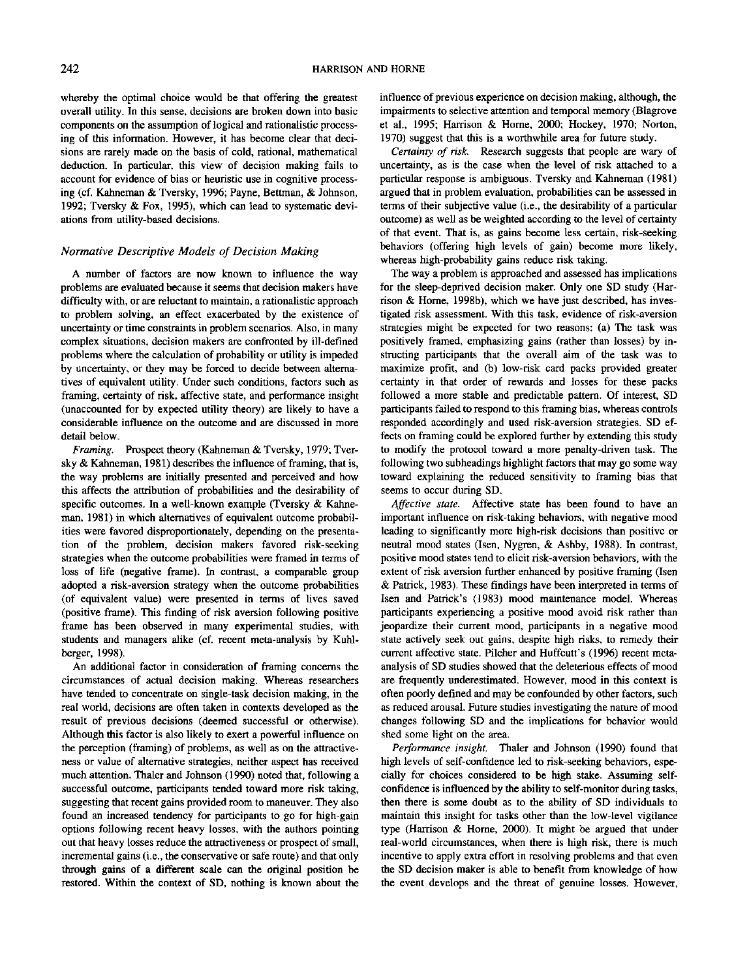whereby the optimal choice would be that offering the greatest overall utility. In this sense, decisions are broken down into basic components on the assumption of logical and rationalistic processing of this information. However, it has become clear that decisions are rarely made on the basis of cold, rational, mathematical deduction. In particular, this view of decision making fails to account for evidence of bias or heuristic use in cognitive processing (cf. Kahneman & Tversky, 1996; Payne, Bettman. *&* Johnson, 1992; Tversky & Fox, 1995), which can lead to systematic deviations from utility-based decisions.

## *Normative Descriptive Models of Decision Making*

A number of factors are now known to influence the way problems are evaluated because it seems that decision makers have difficulty with, or are reluctant to maintain, a rationalistic approach to problem solving, an effect exacerbated by the existence of uncertainty or time constraints in problem scenarios. Also, in many complex situations, decision makers are confronted by ill-defined problems where the calculation of probability or utility is impeded by uncertainty, or they may be forced to decide between alternatives of equivalent utility. Under such conditions, factors such as framing, certainty of risk, affective state, and performance insight (unaccounted for by expected utility theory) are likely to have a considerable influence on the outcome and are discussed in more detail below.

*Framing.* Prospect theory (Kahneman & Tversky, 1979; Tversky & Kahneman, 1981) describes the influence of framing, that is, the way problems are initially presented and perceived and how this affects the attribution of probabilities and the desirability of specific outcomes. In a well-known example (Tversky & Kahneman, 1981) in which alternatives of equivalent outcome probabilities were favored disproportionately, depending on the presentation of the problem, decision makers favored risk-seeking strategies when the outcome probabilities were framed in terms of loss of life (negative frame). In contrast, a comparable group adopted a risk-aversion strategy when the outcome probabilities (of equivalent value) were presented in terms of lives saved (positive frame). This finding of risk aversion following positive frame has been observed in many experimental studies, with students and managers alike (cf. recent meta-analysis by Kuhlberger, 1998).

An additional factor in consideration of framing concerns the circumstances of actual decision making. Whereas researchers have tended to concentrate on single-task decision making, in the real world, decisions are often taken in contexts developed as the result of previous decisions (deemed successful or otherwise). Although this factor is also likely to exert a powerful influence on the perception (framing) of problems, as well as on the attractiveness or value of alternative strategies, neither aspect has received much attention. Thaler and Johnson (1990) noted that, following a successful outcome, participants tended toward more risk taking, suggesting that recent gains provided room to maneuver. They also found an increased tendency for participants to go for high-gain options following recent heavy losses, with the authors pointing out that heavy losses reduce the attractiveness or prospect of small, incremental gains (i.e., the conservative or safe route) and that only through gains of a different scale can the original position be restored. Within the context of SD, nothing is known about the influence of previous experience on decision making, although, the impairments to selective attention and temporal memory (Blagrove et al., 1995; Harrison & Home, 2000; Hockey, 1970; Norton, 1970) suggest that this is a worthwhile area for future study.

*Certainty of risk.* Research suggests that people are wary of uncertainty, as is the case when the level of risk attached to a particular response is ambiguous. Tversky and Kahneman (1981) argued that in problem evaluation, probabilities can be assessed in terms of their subjective value (i.e., the desirability of a particular outcome) as well as be weighted according to the level of certainty of that event. That is, as gains became less certain, risk-seeking behaviors (offering high levels of gain) become more likely, whereas high-probability gains reduce risk taking.

The way a problem is approached and assessed has implications for the sleep-deprived decision maker. Only one SD study (Harrison & Home, 1998b), which we have just described, has investigated risk assessment. With this task, evidence of risk-aversion strategies might be expected for two reasons: (a) The task was positively framed, emphasizing gains (rather than losses) by instructing participants that the overall aim of the task was to maximize profit, and (b) low-risk card packs provided greater certainty in that order of rewards and losses for these packs followed a more stable and predictable pattern. Of interest, SD participants failed to respond to this framing bias, whereas controls responded accordingly and used risk-aversion strategies. SD effects on framing could be explored further by extending this study to modify the protocol toward a more penalty-driven task. The following two subheadings highlight factors that may go some way toward explaining the reduced sensitivity to framing bias that seems to occur during SD.

*Affective state.* Affective state has been found to have an important influence on risk-taking behaviors, with negative mood leading to significantly more high-risk decisions than positive or neutral mood states (Isen, Nygren, & Ashby, 1988). In contrast, positive mood states tend to elicit risk-aversion behaviors, with the extent of risk aversion further enhanced by positive framing (Isen & Patrick, 1983). These findings have been interpreted in terms of Isen and Patrick's (1983) mood maintenance model. Whereas participants experiencing a positive mood avoid risk rather than jeopardize their current mood, participants in a negative mood state actively seek out gains, despite high risks, to remedy their current affective state. Pilcher and Huffcutt's (1996) recent metaanalysis of SD studies showed that the deleterious effects of mood are frequently underestimated. However, mood in this context is often poorly defined and may be confounded by other factors, such as reduced arousal. Future studies investigating the nature of mood changes following SD and the implications for behavior would shed some light on the area.

*Performance insight.* Thaler and Johnson (1990) found that high levels of self-confidence led to risk-seeking behaviors, especially for choices considered to be high stake. Assuming selfconfidence is influenced by the ability to self-monitor during tasks, then there is some doubt as to the ability of SD individuals to maintain this insight for tasks other than the low-level vigilance type (Harrison & Home, 2000). It might be argued that under real-world circumstances, when there is high risk, there is much incentive to apply extra effort in resolving problems and that even the SD decision maker is able to benefit from knowledge of how the event develops and the threat of genuine losses. However,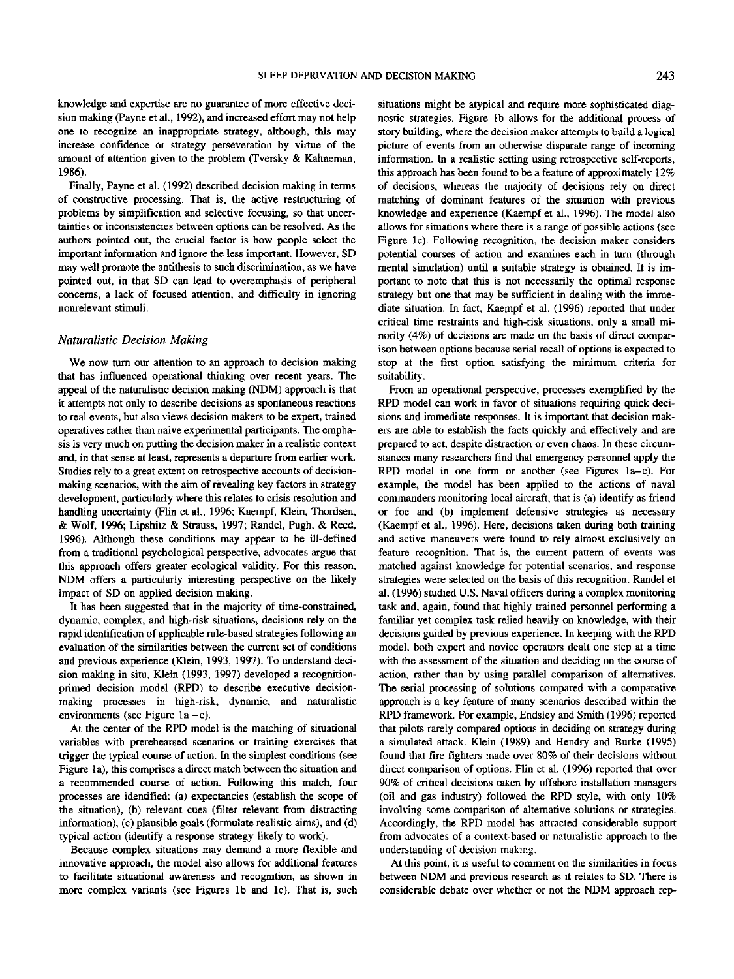knowledge and expertise are no guarantee of more effective decision making (Payne et al., 1992), and increased effort may not help one to recognize an inappropriate strategy, although, this may increase confidence or strategy perseveration by virtue of the amount of attention given to the problem (Tversky & Kahncman, 1986).

Finally, Payne et al. (1992) described decision making in terms of constructive processing. That is, the active restructuring of problems by simplification and selective focusing, so that uncertainties or inconsistencies between options can be resolved. As the authors pointed out, the crucial factor is how people select the important information and ignore the less important. However, SD may well promote the antithesis to such discrimination, as we have pointed out, in that SD can lead to overemphasis of peripheral concerns, a lack of focused attention, and difficulty in ignoring nonrelevant stimuli.

## *Naturalistic Decision Making*

We now turn our attention to an approach to decision making that has influenced operational thinking over recent years. The appeal of the naturalistic decision making (NDM) approach is that it attempts not only to describe decisions as spontaneous reactions to real events, but also views decision makers to be expert, trained operatives rather than naive experimental participants. The emphasis is very much on putting the decision maker in a realistic context and, in that sense at least, represents a departure from earlier work. Studies rely to a great extent on retrospective accounts of decisionmaking scenarios, with the aim of revealing key factors in strategy development, particularly where this relates to crisis resolution and handling uncertainty (Flin et al., 1996; Kaempf, Klein, Thordsen, & Wolf, 1996; Lipshitz & Strauss, 1997; Randel, Pugh, & Reed, 1996). Although these conditions may appear to be ill-defined from a traditional psychological perspective, advocates argue that this approach offers greater ecological validity. For this reason, NDM offers a particularly interesting perspective on the likely impact of SD on applied decision making.

It has been suggested that in the majority of time-constrained, dynamic, complex, and high-risk situations, decisions rely on the rapid identification of applicable rule-based strategies following an evaluation of the similarities between the current set of conditions and previous experience (Klein, 1993, 1997). To understand decision making in situ, Klein (1993, 1997) developed a recognitionprimed decision model (RPD) to describe executive decisionmaking processes in high-risk, dynamic, and naturalistic environments (see Figure  $1a - c$ ).

At the center of the RPD model is the matching of situational variables with prerehearsed scenarios or training exercises that trigger the typical course of action. In the simplest conditions (see Figure la), this comprises a direct match between the situation and a recommended course of action. Following this match, four processes are identified: (a) expectancies (establish the scope of the situation), (b) relevant cues (filter relevant from distracting information), (c) plausible goals (formulate realistic aims), and (d) typical action (identify a response strategy likely to work).

Because complex situations may demand a more flexible and innovative approach, the model also allows for additional features to facilitate situational awareness and recognition, as shown in more complex variants (see Figures Ib and Ic). That is, such

situations might be atypical and require more sophisticated diagnostic strategies. Figure Ib allows for the additional process of story building, where the decision maker attempts to build a logical picture of events from an otherwise disparate range of incoming information. In a realistic setting using retrospective self-reports, this approach has been found to be a feature of approximately 12% of decisions, whereas the majority of decisions rely on direct matching of dominant features of the situation with previous knowledge and experience (Kaempf et al., 1996). The model also allows for situations where there is a range of possible actions (see Figure Ic). Following recognition, the decision maker considers potential courses of action and examines each in turn (through mental simulation) until a suitable strategy is obtained. It is important to note that this is not necessarily the optimal response strategy but one that may be sufficient in dealing with the immediate situation. In fact, Kaempf et al. (1996) reported that under critical time restraints and high-risk situations, only a small minority (4%) of decisions are made on the basis of direct comparison between options because serial recall of options is expected to stop at the first option satisfying the minimum criteria for suitability.

From an operational perspective, processes exemplified by the RPD model can work in favor of situations requiring quick decisions and immediate responses. It is important that decision makers are able to establish the facts quickly and effectively and are prepared to act, despite distraction or even chaos. In these circumstances many researchers find that emergency personnel apply the RPD model in one form or another (see Figures la—c). For example, the model has been applied to the actions of naval commanders monitoring local aircraft, that is (a) identify as friend or foe and (b) implement defensive strategies as necessary (Kaempf et al., 1996). Here, decisions taken during both training and active maneuvers were found to rely almost exclusively on feature recognition. That is, the current pattern of events was matched against knowledge for potential scenarios, and response strategies were selected on the basis of this recognition. Randel et al. (1996) studied U.S. Naval officers during a complex monitoring task and, again, found that highly trained personnel performing a familiar yet complex task relied heavily on knowledge, with their decisions guided by previous experience. In keeping with the RPD model, both expert and novice operators dealt one step at a time with the assessment of the situation and deciding on the course of action, rather than by using parallel comparison of alternatives. The serial processing of solutions compared with a comparative approach is a key feature of many scenarios described within the RPD framework. For example, Endsley and Smith (1996) reported that pilots rarely compared options in deciding on strategy during a simulated attack. Klein (1989) and Hendry and Burke (1995) found that fire fighters made over 80% of their decisions without direct comparison of options. Flin et al. (1996) reported that over 90% of critical decisions taken by offshore installation managers (oil and gas industry) followed the RPD style, with only 10% involving some comparison of alternative solutions or strategies. Accordingly, the RPD model has attracted considerable support from advocates of a context-based or naturalistic approach to the understanding of decision making.

At this point, it is useful to comment on the similarities in focus between NDM and previous research as it relates to SD. There is considerable debate over whether or not the NDM approach rep-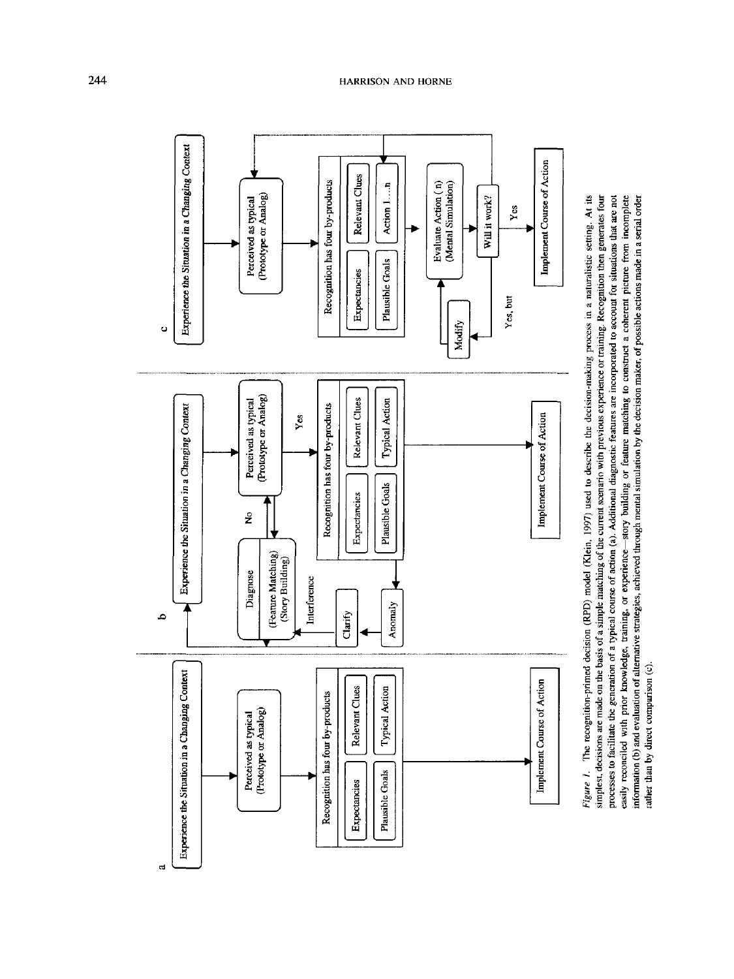



 $\mathbf{d}$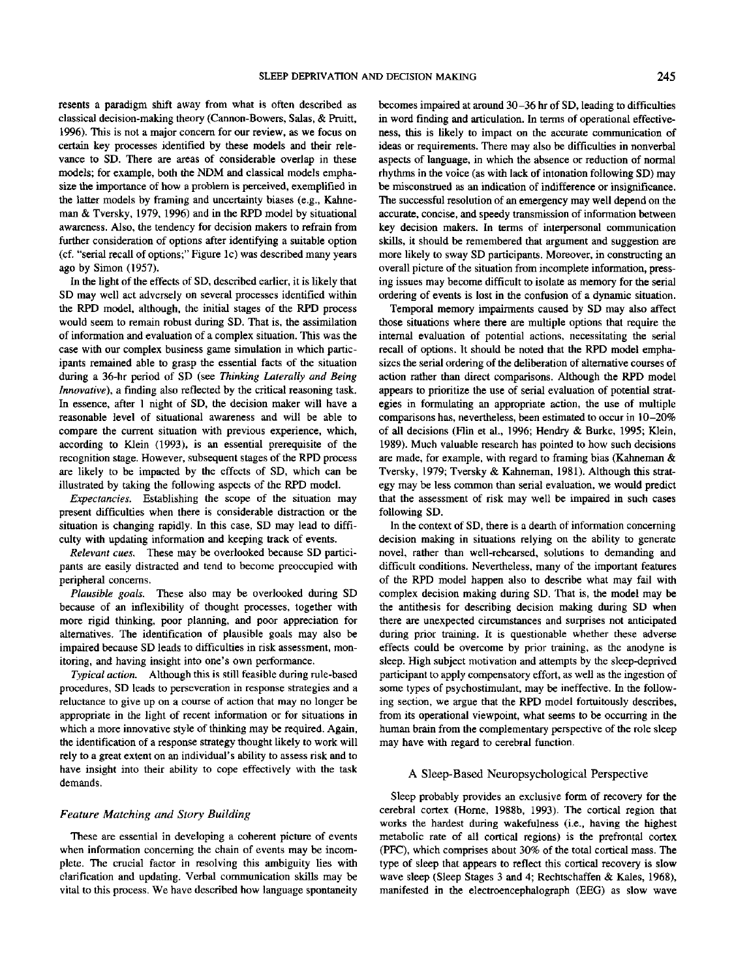resents a paradigm shift away from what is often described as classical decision-making theory (Cannon-Bowers, Salas, & Pruitt, 1996). This is not a major concern for our review, as we focus on certain key processes identified by these models and their relevance to SD. There are areas of considerable overlap in these models; for example, both the NDM and classical models emphasize the importance of how a problem is perceived, exemplified in the latter models by framing and uncertainty biases (e.g., Kahneman & Tversky, 1979, 1996) and in the RPD model by situational awareness. Also, the tendency for decision makers to refrain from further consideration of options after identifying a suitable option (cf. "serial recall of options;" Figure Ic) was described many years ago by Simon (1957).

In the light of the effects of SD, described earlier, it is likely that SD may well act adversely on several processes identified within the RPD model, although, the initial stages of the RPD process would seem to remain robust during SD. That is, the assimilation of information and evaluation of a complex situation. This was the case with our complex business game simulation in which participants remained able to grasp the essential facts of the situation during a 36-hr period of SD (see *Thinking Laterally and Being Innovative),* a finding also reflected by the critical reasoning task. In essence, after 1 night of SD, the decision maker will have a reasonable level of situational awareness and will be able to compare the current situation with previous experience, which, according to Klein (1993), is an essential prerequisite of the recognition stage. However, subsequent stages of the RPD process are likely to be impacted by the effects of SD, which can be illustrated by taking the following aspects of the RPD model.

*Expectancies.* Establishing the scope of the situation may present difficulties when there is considerable distraction or the situation is changing rapidly. In this case, SD may lead to difficulty with updating information and keeping track of events.

*Relevant cues.* These may be overlooked because SD participants are easily distracted and tend to become preoccupied with peripheral concerns.

*Plausible goals.* These also may be overlooked during SD because of an inflexibility of thought processes, together with more rigid thinking, poor planning, and poor appreciation for alternatives. The identification of plausible goals may also be impaired because SD leads to difficulties in risk assessment, monitoring, and having insight into one's own performance.

*Typical action.* Although this is still feasible during rule-based procedures, SD leads to perseveration in response strategies and a reluctance to give up on a course of action that may no longer be appropriate in the light of recent information or for situations in which a more innovative style of thinking may be required. Again, the identification of a response strategy thought likely to work will rely to a great extent on an individual's ability to assess risk and to have insight into their ability to cope effectively with the task demands.

## *Feature Matching and Story Building*

These are essential in developing a coherent picture of events when information concerning the chain of events may be incomplete. The crucial factor in resolving this ambiguity lies with clarification and updating. Verbal communication skills may be vital to this process. We have described how language spontaneity

becomes impaired at around 30-36 hr of SD, leading to difficulties in word finding and articulation. In terms of operational effectiveness, this is likely to impact on the accurate communication of ideas or requirements. There may also be difficulties in nonverbal aspects of language, in which the absence or reduction of normal rhythms in the voice (as with lack of intonation following SD) may be misconstrued as an indication of indifference or insignificance. The successful resolution of an emergency may well depend on the accurate, concise, and speedy transmission of information between key decision makers. In terms of interpersonal communication skills, it should be remembered that argument and suggestion are more likely to sway SD participants. Moreover, in constructing an overall picture of the situation from incomplete information, pressing issues may become difficult to isolate as memory for the serial ordering of events is lost in the confusion of a dynamic situation.

Temporal memory impairments caused by SD may also affect those situations where there are multiple options that require the internal evaluation of potential actions, necessitating the serial recall of options. It should be noted that the RPD model emphasizes the serial ordering of the deliberation of alternative courses of action rather than direct comparisons. Although the RPD model appears to prioritize the use of serial evaluation of potential strategies in formulating an appropriate action, the use of multiple comparisons has, nevertheless, been estimated to occur in 10-20% of all decisions (Flin et al., 1996; Hendry & Burke, 1995; Klein, 1989). Much valuable research has pointed to how such decisions are made, for example, with regard to framing bias (Kahneman & Tversky, 1979; Tversky & Kahneman, 1981). Although this strategy may be less common than serial evaluation, we would predict that the assessment of risk may well be impaired in such cases following SD.

In the context of SD, there is a dearth of information concerning decision making in situations relying on the ability to generate novel, rather than well-rehearsed, solutions to demanding and difficult conditions. Nevertheless, many of the important features of the RPD model happen also to describe what may fail with complex decision making during SD. That is, the model may be the antithesis for describing decision making during SD when there are unexpected circumstances and surprises not anticipated during prior training. It is questionable whether these adverse effects could be overcome by prior training, as the anodyne is sleep. High subject motivation and attempts by the sleep-deprived participant to apply compensatory effort, as well as the ingestion of some types of psychostimulant, may be ineffective. In the following section, we argue that the RPD model fortuitously describes, from its operational viewpoint, what seems to be occurring in the human brain from the complementary perspective of the role sleep may have with regard to cerebral function.

#### A Sleep-Based Neuropsychological Perspective

Sleep probably provides an exclusive form of recovery for the cerebral cortex (Home, 1988b, 1993). The cortical region that works the hardest during wakefulness (i.e., having the highest metabolic rate of all cortical regions) is the prefrontal cortex (PFC), which comprises about 30% of the total cortical mass. The type of sleep that appears to reflect this cortical recovery is slow wave sleep (Sleep Stages 3 and 4; Rechtschaffen & Kales, 1968), manifested in the electroencephalograph (EEG) as slow wave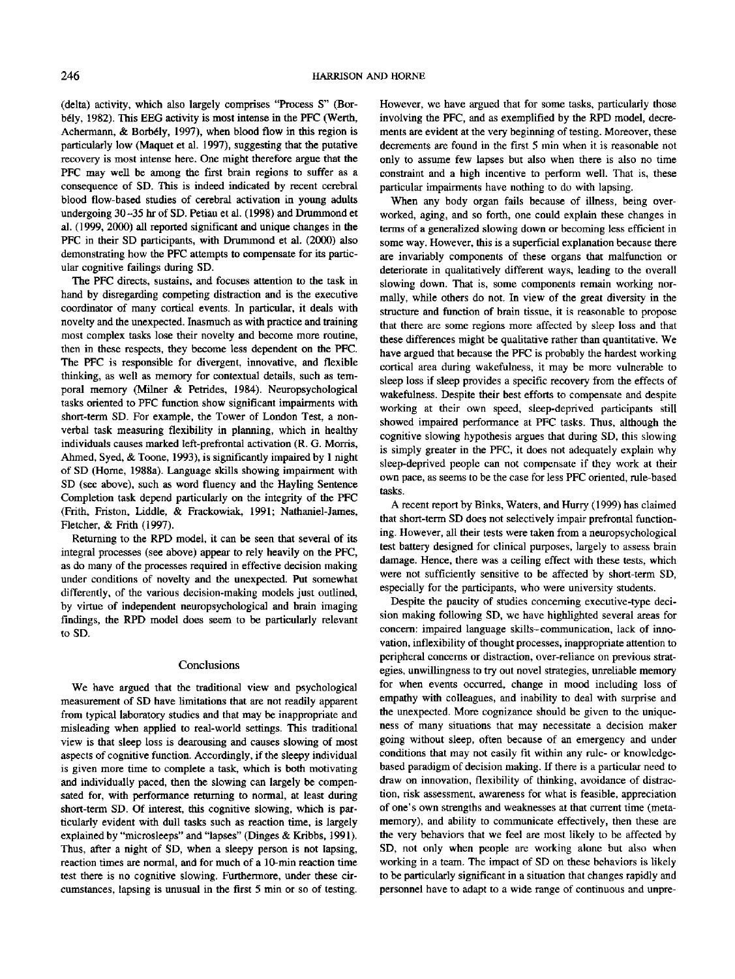(delta) activity, which also largely comprises "Process S" (Borbely, 1982). This EEC activity is most intense in the PFC (Werth, Achermann, & Borbély, 1997), when blood flow in this region is particularly low (Maquet et al. 1997), suggesting that the putative recovery is most intense here. One might therefore argue that the PFC may well be among the first brain regions to suffer as a consequence of SD. This is indeed indicated by recent cerebral blood flow-based studies of cerebral activation in young adults undergoing 30-35 hr of SD. Petiau et al. (1998) and Drummond et al. (1999, 2000) all reported significant and unique changes in the PFC in their SD participants, with Drummond et al. (2000) also demonstrating how the PFC attempts to compensate for its particular cognitive failings during SD.

The PFC directs, sustains, and focuses attention to the task in hand by disregarding competing distraction and is the executive coordinator of many cortical events. In particular, it deals with novelty and the unexpected. Inasmuch as with practice and training most complex tasks lose their novelty and become more routine, then in these respects, they become less dependent on the PFC. The PFC is responsible for divergent, innovative, and flexible thinking, as well as memory for contextual details, such as temporal memory (Milner & Petrides, 1984). Neuropsychological tasks oriented to PFC function show significant impairments with short-term SD. For example, the Tower of London Test, a nonverbal task measuring flexibility in planning, which in healthy individuals causes marked left-prefrontal activation (R. G. Morris, Ahmed, Syed, & Toone, 1993), is significantly impaired by 1 night of SD (Home, 1988a). Language skills showing impairment with SD (see above), such as word fluency and the Hayling Sentence Completion task depend particularly on the integrity of the PFC (Frith, Friston, Liddle, & Frackowiak, 1991; Nathaniel-James, Fletcher, & Frith (1997).

Returning to the RPD model, it can be seen that several of its integral processes (see above) appear to rely heavily on the PFC, as do many of the processes required in effective decision making under conditions of novelty and the unexpected. Put somewhat differently, of the various decision-making models just outlined, by virtue of independent neuropsychological and brain imaging findings, the RPD model does seem to be particularly relevant to SD.

#### Conclusions

We have argued that the traditional view and psychological measurement of SD have limitations that are not readily apparent from typical laboratory studies and that may be inappropriate and misleading when applied to real-world settings. This traditional view is that sleep loss is dearousing and causes slowing of most aspects of cognitive function. Accordingly, if the sleepy individual is given more time to complete a task, which is both motivating and individually paced, then the slowing can largely be compensated for, with performance returning to normal, at least during short-term SD. Of interest, this cognitive slowing, which is particularly evident with dull tasks such as reaction time, is largely explained by "microsleeps" and "lapses" (Dinges & Kribbs, 1991). Thus, after a night of SD, when a sleepy person is not lapsing, reaction times are normal, and for much of a 10-min reaction time test there is no cognitive slowing. Furthermore, under these circumstances, lapsing is unusual in the first 5 min or so of testing.

However, we have argued that for some tasks, particularly those involving the PFC, and as exemplified by the RPD model, decrements are evident at the very beginning of testing. Moreover, these decrements are found in the first 5 min when it is reasonable not only to assume few lapses but also when there is also no time constraint and a high incentive to perform well. That is, these particular impairments have nothing to do with lapsing.

When any body organ fails because of illness, being overworked, aging, and so forth, one could explain these changes in terms of a generalized slowing down or becoming less efficient in some way. However, this is a superficial explanation because there are invariably components of these organs that malfunction or deteriorate in qualitatively different ways, leading to the overall slowing down. That is, some components remain working normally, while others do not. In view of the great diversity in the structure and function of brain tissue, it is reasonable to propose that there are some regions more affected by sleep loss and that these differences might be qualitative rather than quantitative. We have argued that because the PFC is probably the hardest working cortical area during wakefulness, it may be more vulnerable to sleep loss if sleep provides a specific recovery from the effects of wakefulness. Despite their best efforts to compensate and despite working at their own speed, sleep-deprived participants still showed impaired performance at PFC tasks. Thus, although the cognitive slowing hypothesis argues that during SD, this slowing is simply greater in the PFC, it does not adequately explain why sleep-deprived people can not compensate if they work at their own pace, as seems to be the case for less PFC oriented, rule-based tasks.

A recent report by Binks, Waters, and Hurry (1999) has claimed that short-term SD does not selectively impair prefrontal functioning. However, all their tests were taken from a neuropsychological test battery designed for clinical purposes, largely to assess brain damage. Hence, there was a ceiling effect with these tests, which were not sufficiently sensitive to be affected by short-term SD, especially for the participants, who were university students.

Despite the paucity of studies concerning executive-type decision making following SD, we have highlighted several areas for concern: impaired language skills-communication, lack of innovation, inflexibility of thought processes, inappropriate attention to peripheral concerns or distraction, over-reliance on previous strategies, unwillingness to try out novel strategies, unreliable memory for when events occurred, change in mood including loss of empathy with colleagues, and inability to deal with surprise and the unexpected. More cognizance should be given to the uniqueness of many situations that may necessitate a decision maker going without sleep, often because of an emergency and under conditions that may not easily fit within any rule- or knowledgebased paradigm of decision making. If there is a particular need to draw on innovation, flexibility of thinking, avoidance of distraction, risk assessment, awareness for what is feasible, appreciation of one's own strengths and weaknesses at that current time (metamemory), and ability to communicate effectively, then these are the very behaviors that we feel are most likely to be affected by SD, not only when people are working alone but also when working in a team. The impact of SD on these behaviors is likely to be particularly significant in a situation that changes rapidly and personnel have to adapt to a wide range of continuous and unpre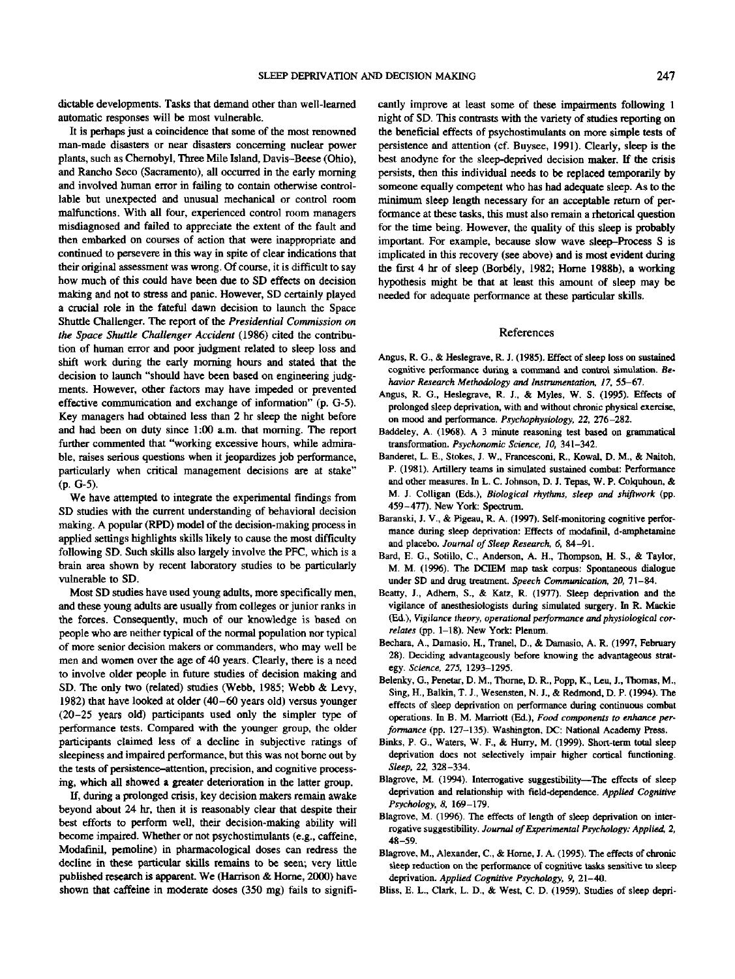dictable developments. Tasks that demand other than well-learned automatic responses will be most vulnerable.

It is perhaps just a coincidence that some of the most renowned man-made disasters or near disasters concerning nuclear power plants, such as Chernobyl, Three Mile Island, Davis-Beese (Ohio), and Rancho Seco (Sacramento), all occurred in the early morning and involved human error in failing to contain otherwise controllable but unexpected and unusual mechanical or control room malfunctions. With all four, experienced control room managers misdiagnosed and failed to appreciate the extent of the fault and then embarked on courses of action that were inappropriate and continued to persevere in this way in spite of clear indications that their original assessment was wrong. Of course, it is difficult to say how much of this could have been due to SD effects on decision making and not to stress and panic. However, SD certainly played a crucial role in the fateful dawn decision *to* launch the Space Shuttle Challenger. The report of the *Presidential Commission on the Space Shuttle Challenger Accident* (1986) cited the contribution of human error and poor judgment related to sleep loss and shift work during the early morning hours and stated that the decision to launch "should have been based on engineering judgments. However, other factors may have impeded or prevented effective communication and exchange of information" (p. G-5). Key managers had obtained less than 2 hr sleep the night before and had been on duty since 1:00 a.m. that morning. The report further commented that "working excessive hours, while admirable, raises serious questions when it jeopardizes job performance, particularly when critical management decisions are at stake" (p. G-5).

We have attempted to integrate the experimental findings from SD studies with the current understanding of behavioral decision making. A popular (RPD) model of the decision-making process in applied settings highlights skills likely to cause the most difficulty following SD. Such skills also largely involve the PFC, which is a brain area shown by recent laboratory studies to be particularly vulnerable to SD.

Most SD studies have used young adults, more specifically men, and these young adults are usually from colleges or junior ranks in the forces. Consequently, much of our knowledge is based on people who are neither typical of the normal population nor typical of more senior decision makers or commanders, who may well be men and women over the age of 40 years. Clearly, there is a need to involve older people in future studies of decision making and SD. The only two (related) studies (Webb, 1985; Webb & Levy, 1982) that have looked at older (40-60 years old) versus younger (20-25 years old) participants used only the simpler type of performance tests. Compared with the younger group, the older participants claimed less of a decline in subjective ratings of sleepiness and impaired performance, but this was not borne out by the tests of persistence-attention, precision, and cognitive processing, which all showed a greater deterioration in the latter group.

If, during a prolonged crisis, key decision makers remain awake beyond about 24 hr, then it is reasonably clear that despite their best efforts to perform well, their decision-making ability will become impaired. Whether or not psychostimulants (e.g., caffeine, Modafinil, pemoline) in pharmacological doses can redress the decline in these particular skills remains to be seen; very little published research is apparent. We (Harrison *&* Home, 2000) have shown that caffeine in moderate doses (350 mg) fails to significantly improve at least some of these impairments following 1 night of SD. This contrasts with the variety of studies reporting on the beneficial effects of psychostimulants on more simple tests of persistence and attention (cf. Buysee, 1991). Clearly, sleep is the best anodyne for the sleep-deprived decision maker. If the crisis persists, then this individual needs to be replaced temporarily by someone equally competent who has had adequate sleep. As to the minimum sleep length necessary for an acceptable return of performance at these tasks, this must also remain a rhetorical question for the time being. However, the quality of this sleep is probably important. For example, because slow wave sleep-Process S is implicated in this recovery (see above) and is most evident during the first 4 hr of sleep (Borbely, 1982; Home 1988b), a working hypothesis might be that at least this amount of sleep may be needed for adequate performance at these particular skills.

### References

- Angus, R. G., & Heslegrave, R. J. (1985). Effect of sleep loss on sustained cognitive performance during a command and control simulation. *Behavior Research Methodology and Instrumentation, 17,* 55—67.
- Angus, R. G., Heslegrave, R. J., & Myles, W. S. (1995). Effects of prolonged sleep deprivation, with and without chronic physical exercise, on mood and performance. *Psychophysiology, 22,* 276-282.
- Baddeley, A. (1968). A 3 minute reasoning test based on grammatical transformation. *Psychonomic Science, 10,* 341-342.
- Banderet, L. E., Stokes, J. W., Francesconi, R., Kowal, D. M., & Naitoh, P. (1981). Artillery teams in simulated sustained combat: Performance and other measures. In L. C. Johnson, D. J. Tepas, W. P. Colquhoun, *&* M. J. Cotligan (Eds.), *Biological rhythms, sleep and shiftwork* (pp. 459-477). New York: Spectrum.
- Baranski, I. V., & Pigeau, R. A. (1997). Self-monitoring cognitive performance during sleep deprivation: Effects of modafinil, d-amphetamine and placebo. *Journal of Sleep Research, 6,* 84-91.
- Bard, E. G., Sotillo, C., Anderson, A. H., Thompson, H. S., & Taylor, M. M. (1996). The DCLEM map task corpus: Spontaneous dialogue under SD and drug treatment. *Speech Communication, 20,* 71-84.
- Beatty, J., Adhem, S., & Katz, R. (1977). Sleep deprivation and the vigilance of anesthesiologists during simulated surgery. In R. Mackie (Ed.), *Vigilance theory, operational performance and physiological correlates* (pp. 1-18). New York: Plenum.
- Bechara, A., Damasio. H., Tranel, D., & Damasio, A. R. (1997, Febmary 28). Deciding advantageously before knowing the advantageous strategy. *Science, 275,* 1293-1295.
- Belenky, G., Penetar, D. M., Thome, D. R., Popp, K., Leu, J., Tnomas, M., Sing, H., Balkin, T. J., Wesensten, N. J., & Redmond, D. P. (1994). The effects of sleep deprivation on performance during continuous combat operations. In B. M. Marriott (Ed.), *Food components to enhance performance* (pp. 127-135). Washington, DC: National Academy Press.
- Binks, P. G., Waters, W. F., & Hurry, M. (1999). Short-term total sleep deprivation does not selectively impair higher cortical functioning. *Sleep, 22,* 328-334.
- Blagrove, M. (1994). Interrogative suggestibility—The effects of sleep deprivation and relationship with field-dependence. *Applied Cognitive Psychology, S,* 169-179.
- Blagrove, M. (1996). The effects of length of sleep deprivation on interrogative suggestibility. *Journal of Experimental Psychology: Applied, 2,* 48-59.
- Blagrove, M., Alexander, C., & Home, J. A. (1995). The effects of chronic sleep reduction on the performance of cognitive tasks sensitive to sleep deprivation. *Applied Cognitive Psychology, 9,* 21-40.
- Bliss, E. L., Clark, L. D., & West, C. D. (1959). Studies of sleep depri-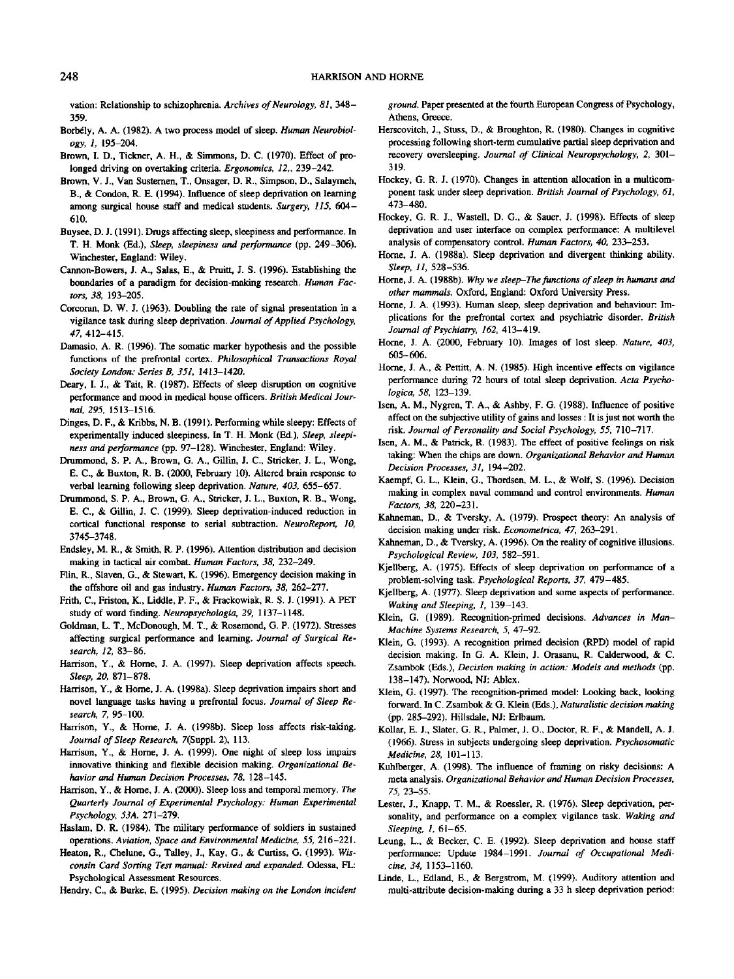vation: Relationship to schizophrenia. *Archives of Neurology, SI,* 348- 359.

- Borbély, A. A. (1982). A two process model of sleep. *Human Neurobiology, 1,* 195-204.
- Brown, I. D., Tickner, A. H., & Simmons, D. C. (1970). Effect of prolonged driving on overtaking criteria. *Ergonomics, 12,,* 239-242.
- Brown, V. J., Van Susternen, T., Onsager, D. R., Simpson, D., Salaymeh, B., & Condon, R. E. (1994). Influence of sleep deprivation on learning among surgical house staff and medical students. *Surgery, 115,* 604- 610.
- Buysee, D. J. (1991). Drugs affecting sleep, sleepiness and performance. In T. H. Monk (Ed.), *Sleep, sleepiness and performance* (pp. 249-306). Winchester, England: Wiley.
- Cannon-Bowers, J. A., Salas, E., & Pruitt, J. S. (1996). Establishing the boundaries of a paradigm for decision-making research. *Human Factors, 38,* 193-205.
- Corcoran, D. W. J. (1963). Doubling the rate of signal presentation in a vigilance task during sleep deprivation. *Journal of Applied Psychology, 47,* 412-415.
- Damasio, A. R. (1996). The somatic marker hypothesis and the possible functions of the prefrontal cortex. *Philosophical Transactions Royal Society London: Series B, 351,* 1413-1420.
- Deary, I. J., & Tait, R. (1987). Effects of sleep disruption on cognitive performance and mood in medical house officers. *British Medical Journal, 295,* 1513-1516.
- Dinges, D. P., & Kribbs, N. B. (1991). Performing while sleepy: Effects of experimentally induced sleepiness. In T. H. Monk (Ed.), *Sleep, sleepiness and performance* (pp. 97-128). Winchester, England: Wiley.
- Drummond, S. P. A., Brown, G. A., Gillin, J. C., Strieker, J. L., Wong, E. C., & Buxton, R. B. (2000, February 10). Altered brain response to verbal learning following sleep deprivation. *Nature, 403,* 655-657.
- Drummond, S. P. A., Brown, G. A., Strieker, J. L., Buxton, R. B., Wong, E. C., & Gillin, J. C. (1999). Sleep deprivation-induced reduction in cortical functional response to serial subtraction. *NeuroReport, W,* 3745-3748.
- Endsley, M. R., & Smith, R. P. (1996). Attention distribution and decision making in tactical air combat. *Human Factors, 38,* 232-249.
- Flin, R., Slaven, G., & Stewart, K. (1996). Emergency decision making in the offshore oil and gas industry. *Human Factors, 38,* 262-277.
- Frith, C., Friston, K., Liddle, P. F., & Frackowiak, R. S. J. (1991). A PET study of word finding. *Neuropsychologia, 29,* 1137-1148.
- Goldman, L. T., McDonough, M. T., *&* Rosemond, G. P. (1972). Stresses affecting surgical performance and learning. *Journal of Surgical Research, 12,* 83-86.
- Harrison, Y., & Home, J. A. (1997). Sleep deprivation affects speech. *Sleep, 20,* 871-878.
- Harrison, Y., & Home, J. A. (1998a). Sleep deprivation impairs short and novel language tasks having a prefrontal focus. *Journal of Sleep Research, 7,* 95-100.
- Harrison, Y., & Home, I. A. (1998b). Sleep loss affects risk-taking. *Journal of Sleep Research,* 7(Suppl. 2), 113.
- Harrison, Y., & Home, J. A. (1999). One night of sleep loss impairs innovative thinking and flexible decision making. *Organizational Behavior and Human Decision Processes, 78,* 128-145.
- Harrison, Y., & Home, J. A. (2000). Sleep loss and temporal memory. *The Quarterly Journal of Experimental Psychology: Human Experimental Psychology, 53A.* 271-279.
- Haslam, D. R. (1984). The military performance of soldiers in sustained operations. *Aviation, Space and Environmental Medicine, 55,* 216-221.
- Heaton, R., Chelune, G., Talley, J., Kay, G., & Curtiss, G. (1993). *Wisconsin Card Sorting Test manual: Revised and expanded.* Odessa, FL: Psychological Assessment Resources.

Hendry, C., & Burke, E. (1995). *Decision making on the London incident*

*ground.* Paper presented at the fourth European Congress of Psychology, Athens, Greece.

- Herscovitch, J., Stuss, D., & Broughton, R. (1980). Changes in cognitive processing following short-term cumulative partial sleep deprivation and recovery oversleeping. *Journal of Clinical Neuropsychology, 2,* 301— 319.
- Hockey, G. R. J. (1970). Changes in attention allocation in a multicomponent task under sleep deprivation. *British Journal of Psychology, 61,* 473-480.
- Hockey, G. R. J., Wastell, D. G., & Sauer, J. (1998). Effects of sleep deprivation and user interface on complex performance: A multilevel analysis of compensatory control. *Human Factors, 40,* 233—253.
- Home, J. A. (1988a). Sleep deprivation and divergent thinking ability. *Sleep, 11,* 528-536.
- Home, J. A. (1988b). *Why we steep-The functions of sleep in humans and other mammals.* Oxford, England: Oxford University Press.
- Home, J. A. (1993). Human sleep, sleep deprivation and behaviour: Implications for the prefrontal cortex and psychiatric disorder. *British Journal of Psychiatry, 162,* 413-419.
- Home, J. A. (2000, February 10). Images of lost sleep. *Nature. 403.* 605-606.
- Home, J. A., & Pettitt, A. N. (1985). High incentive effects on vigilance performance during 72 hours of total sleep deprivation. *Acta Psychologica, 58,* 123-139.
- Isen, A. M., Nygren, T. A., & Ashby, F. G. (1988). Influence of positive affect on the subjective utility of gains and losses : It is just not worth the risk. *Journal of Personality and Social Psychology, 55,* 710-717.
- Isen, A. M., & Patrick, R. (1983). The effect of positive feelings on risk taking: When the chips are down. *Organizational Behavior and Human Decision Processes, 31,* 194-202.
- Kaempf, G. L., Klein, G, Thordsen, M. L., & Wolf, S. (1996). Decision making in complex naval command and control environments. *Human Factors, 38,* 220-231.
- Kahneman, D., & Tversky, A. (1979). Prospect theory: An analysis of decision making under risk. *Econometrica, 47,* 263-291.
- Kahneman, D., & Tversky, A. (1996). On the reality of cognitive illusions. *Psychological Review, 103,* 582-591.
- Kjellberg, A. (1975). Effects of sleep deprivation on performance of a problem-solving task. *Psychological Reports, 37,* 479-485.
- Kjellberg, A. (1977). Sleep deprivation and some aspects of performance. *Waking and Sleeping, 1,* 139-143.
- Klein, G. (1989). Recognition-primed decisions. *Advances in Man-Machine Systems Research, 5,* 47-92.
- Klein, G. (1993). A recognition primed decision (RPD) model of rapid decision making. In G. A. Klein, J. Orasanu, R. Calderwood, <& C. Zsambok (Eds.), *Decision making in action: Models and methods* (pp. 138-147). Norwood, NJ: Ablex.
- Klein, G. (1997). The recognition-primed model: Looking back, looking forward. In C. Zsambok & G. Klein (Eds.), *Naturalistic decision making* (pp. 285-292). Hillsdale, NJ: Erlbaum.
- Kollar, E. J., Slater, G. R, Palmer, J. O., Doctor, R. F., & Mandell, A. J. (1966). Stress in subjects undergoing sleep deprivation. *Psychosomatic Medicine, 28,* 101-113.
- Kuhlberger, A. (1998). The influence of framing on risky decisions: A meta analysis. *Organizational Behavior and Human Decision Processes, 75,* 23-55.
- Lester, J., Knapp, T. M., & Roessler, R. (1976). Sleep deprivation, personality, and performance on a complex vigilance task. *Waking and Sleeping, 1,* 61-65.
- Leung, L., & Becker, C. E. (1992). Sleep deprivation and house staff performance: Update 1984-1991. *Journal of Occupational Medicine, 34,* 1153-1160.
- Linde, L., Edland, E., & Bergstrom, M. (1999). Auditory attention and multi-attribute decision-making during a 33 h sleep deprivation period: